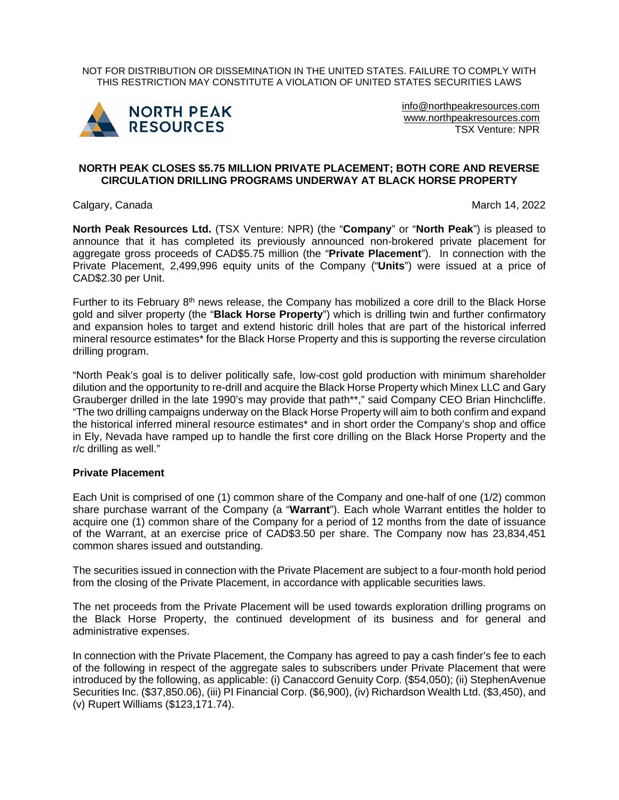NOT FOR DISTRIBUTION OR DISSEMINATION IN THE UNITED STATES. FAILURE TO COMPLY WITH THIS RESTRICTION MAY CONSTITUTE A VIOLATION OF UNITED STATES SECURITIES LAWS



info@northpeakresources.com www.northpeakresources.com TSX Venture: NPR

#### **NORTH PEAK CLOSES \$5.75 MILLION PRIVATE PLACEMENT; BOTH CORE AND REVERSE CIRCULATION DRILLING PROGRAMS UNDERWAY AT BLACK HORSE PROPERTY**

Calgary, Canada March 14, 2022

**North Peak Resources Ltd.** (TSX Venture: NPR) (the "**Company**" or "**North Peak**") is pleased to announce that it has completed its previously announced non-brokered private placement for aggregate gross proceeds of CAD\$5.75 million (the "**Private Placement**"). In connection with the Private Placement, 2,499,996 equity units of the Company ("**Units**") were issued at a price of CAD\$2.30 per Unit.

Further to its February 8<sup>th</sup> news release, the Company has mobilized a core drill to the Black Horse gold and silver property (the "**Black Horse Property**") which is drilling twin and further confirmatory and expansion holes to target and extend historic drill holes that are part of the historical inferred mineral resource estimates\* for the Black Horse Property and this is supporting the reverse circulation drilling program.

"North Peak's goal is to deliver politically safe, low-cost gold production with minimum shareholder dilution and the opportunity to re-drill and acquire the Black Horse Property which Minex LLC and Gary Grauberger drilled in the late 1990's may provide that path\*\*," said Company CEO Brian Hinchcliffe. "The two drilling campaigns underway on the Black Horse Property will aim to both confirm and expand the historical inferred mineral resource estimates\* and in short order the Company's shop and office in Ely, Nevada have ramped up to handle the first core drilling on the Black Horse Property and the r/c drilling as well."

# **Private Placement**

Each Unit is comprised of one (1) common share of the Company and one-half of one (1/2) common share purchase warrant of the Company (a "**Warrant**"). Each whole Warrant entitles the holder to acquire one (1) common share of the Company for a period of 12 months from the date of issuance of the Warrant, at an exercise price of CAD\$3.50 per share. The Company now has 23,834,451 common shares issued and outstanding.

The securities issued in connection with the Private Placement are subject to a four-month hold period from the closing of the Private Placement, in accordance with applicable securities laws.

The net proceeds from the Private Placement will be used towards exploration drilling programs on the Black Horse Property, the continued development of its business and for general and administrative expenses.

In connection with the Private Placement, the Company has agreed to pay a cash finder's fee to each of the following in respect of the aggregate sales to subscribers under Private Placement that were introduced by the following, as applicable: (i) Canaccord Genuity Corp. (\$54,050); (ii) StephenAvenue Securities Inc. (\$37,850.06), (iii) PI Financial Corp. (\$6,900), (iv) Richardson Wealth Ltd. (\$3,450), and (v) Rupert Williams (\$123,171.74).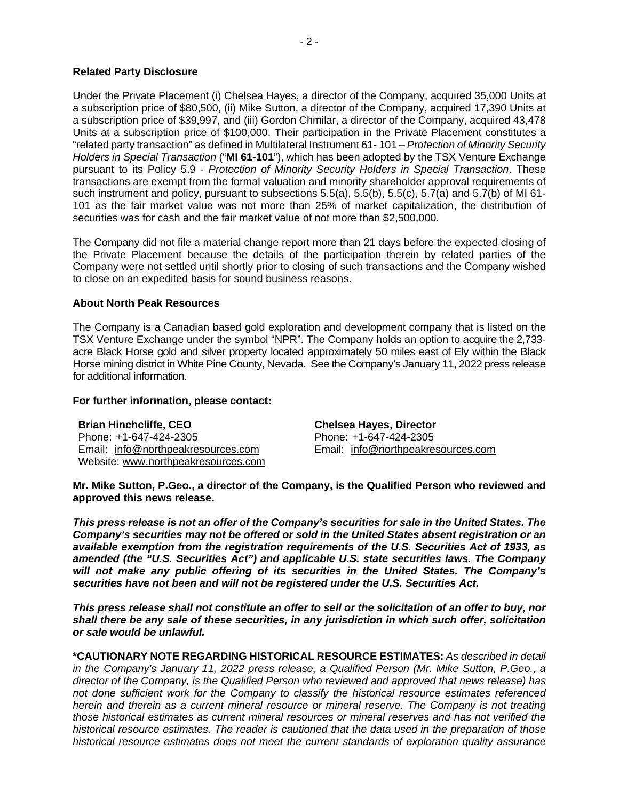## **Related Party Disclosure**

Under the Private Placement (i) Chelsea Hayes, a director of the Company, acquired 35,000 Units at a subscription price of \$80,500, (ii) Mike Sutton, a director of the Company, acquired 17,390 Units at a subscription price of \$39,997, and (iii) Gordon Chmilar, a director of the Company, acquired 43,478 Units at a subscription price of \$100,000. Their participation in the Private Placement constitutes a "related party transaction" as defined in Multilateral Instrument 61- 101 – *Protection of Minority Security Holders in Special Transaction* ("**MI 61-101**"), which has been adopted by the TSX Venture Exchange pursuant to its Policy 5.9 - *Protection of Minority Security Holders in Special Transaction*. These transactions are exempt from the formal valuation and minority shareholder approval requirements of such instrument and policy, pursuant to subsections 5.5(a), 5.5(b), 5.5(c), 5.7(a) and 5.7(b) of MI 61- 101 as the fair market value was not more than 25% of market capitalization, the distribution of securities was for cash and the fair market value of not more than \$2,500,000.

The Company did not file a material change report more than 21 days before the expected closing of the Private Placement because the details of the participation therein by related parties of the Company were not settled until shortly prior to closing of such transactions and the Company wished to close on an expedited basis for sound business reasons.

## **About North Peak Resources**

The Company is a Canadian based gold exploration and development company that is listed on the TSX Venture Exchange under the symbol "NPR". The Company holds an option to acquire the 2,733 acre Black Horse gold and silver property located approximately 50 miles east of Ely within the Black Horse mining district in White Pine County, Nevada. See the Company's January 11, 2022 press release for additional information.

**For further information, please contact:** 

#### **Brian Hinchcliffe, CEO**

Phone: +1-647-424-2305 Email: [info@northpeakresources.com](mailto:info@northpeakresources.com)  Website: [www.northpeakresources.com](http://www.northpeakresources.com/)

**Chelsea Hayes, Director**  Phone: +1-647-424-2305 Email: [info@northpeakresources.com](mailto:info@northpeakresources.com) 

**Mr. Mike Sutton, P.Geo., a director of the Company, is the Qualified Person who reviewed and approved this news release.** 

*This press release is not an offer of the Company's securities for sale in the United States. The Company's securities may not be offered or sold in the United States absent registration or an available exemption from the registration requirements of the U.S. Securities Act of 1933, as amended (the "U.S. Securities Act") and applicable U.S. state securities laws. The Company will not make any public offering of its securities in the United States. The Company's securities have not been and will not be registered under the U.S. Securities Act.* 

*This press release shall not constitute an offer to sell or the solicitation of an offer to buy, nor shall there be any sale of these securities, in any jurisdiction in which such offer, solicitation or sale would be unlawful.* 

**\*CAUTIONARY NOTE REGARDING HISTORICAL RESOURCE ESTIMATES:** *As described in detail in the Company's January 11, 2022 press release, a Qualified Person (Mr. Mike Sutton, P.Geo., a director of the Company, is the Qualified Person who reviewed and approved that news release) has not done sufficient work for the Company to classify the historical resource estimates referenced*  herein and therein as a current mineral resource or mineral reserve. The Company is not treating *those historical estimates as current mineral resources or mineral reserves and has not verified the historical resource estimates. The reader is cautioned that the data used in the preparation of those historical resource estimates does not meet the current standards of exploration quality assurance*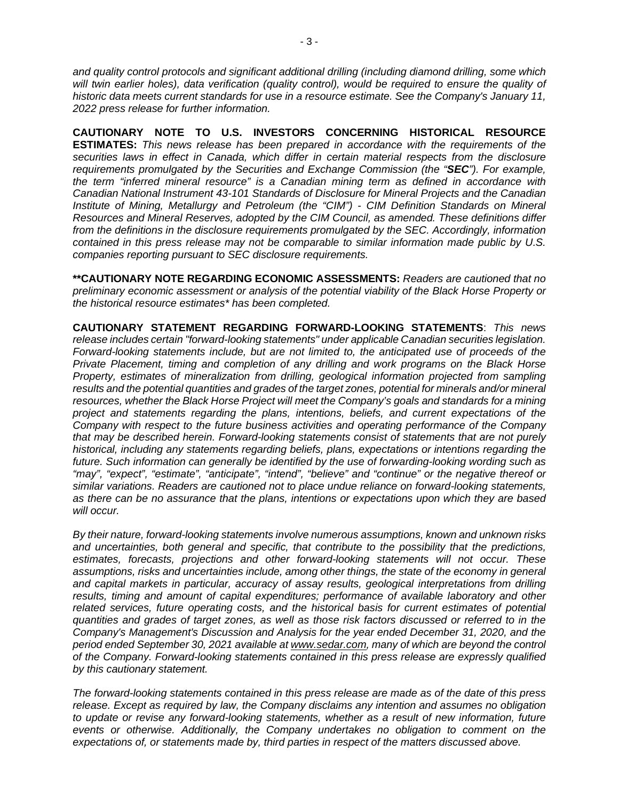*and quality control protocols and significant additional drilling (including diamond drilling, some which will twin earlier holes), data verification (quality control), would be required to ensure the quality of historic data meets current standards for use in a resource estimate. See the Company's January 11, 2022 press release for further information.* 

**CAUTIONARY NOTE TO U.S. INVESTORS CONCERNING HISTORICAL RESOURCE ESTIMATES:** *This news release has been prepared in accordance with the requirements of the securities laws in effect in Canada, which differ in certain material respects from the disclosure requirements promulgated by the Securities and Exchange Commission (the "SEC"). For example, the term "inferred mineral resource" is a Canadian mining term as defined in accordance with Canadian National Instrument 43-101 Standards of Disclosure for Mineral Projects and the Canadian Institute of Mining, Metallurgy and Petroleum (the "CIM") - CIM Definition Standards on Mineral Resources and Mineral Reserves, adopted by the CIM Council, as amended. These definitions differ from the definitions in the disclosure requirements promulgated by the SEC. Accordingly, information contained in this press release may not be comparable to similar information made public by U.S. companies reporting pursuant to SEC disclosure requirements.* 

**\*\*CAUTIONARY NOTE REGARDING ECONOMIC ASSESSMENTS:** *Readers are cautioned that no preliminary economic assessment or analysis of the potential viability of the Black Horse Property or the historical resource estimates\* has been completed.*

**CAUTIONARY STATEMENT REGARDING FORWARD-LOOKING STATEMENTS**: *This news release includes certain "forward-looking statements" under applicable Canadian securities legislation. Forward-looking statements include, but are not limited to, the anticipated use of proceeds of the Private Placement, timing and completion of any drilling and work programs on the Black Horse Property, estimates of mineralization from drilling, geological information projected from sampling results and the potential quantities and grades of the target zones, potential for minerals and/or mineral resources, whether the Black Horse Project will meet the Company's goals and standards for a mining project and statements regarding the plans, intentions, beliefs, and current expectations of the Company with respect to the future business activities and operating performance of the Company that may be described herein. Forward-looking statements consist of statements that are not purely historical, including any statements regarding beliefs, plans, expectations or intentions regarding the future. Such information can generally be identified by the use of forwarding-looking wording such as "may", "expect", "estimate", "anticipate", "intend", "believe" and "continue" or the negative thereof or similar variations. Readers are cautioned not to place undue reliance on forward-looking statements, as there can be no assurance that the plans, intentions or expectations upon which they are based will occur.* 

*By their nature, forward-looking statements involve numerous assumptions, known and unknown risks and uncertainties, both general and specific, that contribute to the possibility that the predictions, estimates, forecasts, projections and other forward-looking statements will not occur. These assumptions, risks and uncertainties include, among other things, the state of the economy in general and capital markets in particular, accuracy of assay results, geological interpretations from drilling results, timing and amount of capital expenditures; performance of available laboratory and other related services, future operating costs, and the historical basis for current estimates of potential quantities and grades of target zones, as well as those risk factors discussed or referred to in the Company's Management's Discussion and Analysis for the year ended December 31, 2020, and the period ended September 30, 2021 available a[t www.sedar.com, m](http://www.sedar.com/)any of which are beyond the control of the Company. Forward-looking statements contained in this press release are expressly qualified by this cautionary statement.* 

*The forward-looking statements contained in this press release are made as of the date of this press release. Except as required by law, the Company disclaims any intention and assumes no obligation to update or revise any forward-looking statements, whether as a result of new information, future events or otherwise. Additionally, the Company undertakes no obligation to comment on the expectations of, or statements made by, third parties in respect of the matters discussed above.*